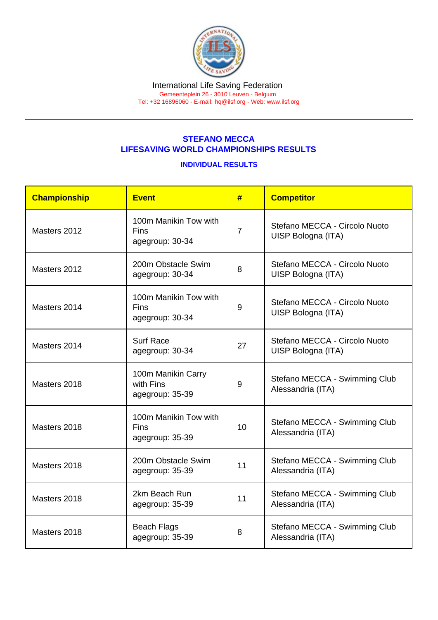## STEFANO MECCA LIFESAVING WORLD CHAMPIONSHIPS RESULTS

## INDIVIDUAL RESULTS

| Championship | <b>Event</b>                                            | #              | <b>Competitor</b>                                   |  |
|--------------|---------------------------------------------------------|----------------|-----------------------------------------------------|--|
| Masters 2012 | 100m Manikin Tow with<br><b>Fins</b><br>agegroup: 30-34 | $\overline{7}$ | Stefano MECCA - Circolo Nuoto<br>UISP Bologna (ITA) |  |
| Masters 2012 | 200m Obstacle Swim<br>agegroup: 30-34                   | 8              | Stefano MECCA - Circolo Nuoto<br>UISP Bologna (ITA) |  |
| Masters 2014 | 100m Manikin Tow with<br>Fins<br>agegroup: 30-34        | 9              | Stefano MECCA - Circolo Nuoto<br>UISP Bologna (ITA) |  |
| Masters 2014 | <b>Surf Race</b><br>agegroup: 30-34                     | 27             | Stefano MECCA - Circolo Nuoto<br>UISP Bologna (ITA) |  |
| Masters 2018 | 100m Manikin Carry<br>with Fins<br>agegroup: 35-39      | 9              | Stefano MECCA - Swimming Club<br>Alessandria (ITA)  |  |
| Masters 2018 | 100m Manikin Tow with<br><b>Fins</b><br>agegroup: 35-39 | 10             | Stefano MECCA - Swimming Club<br>Alessandria (ITA)  |  |
| Masters 2018 | 200m Obstacle Swim<br>agegroup: 35-39                   | 11             | Stefano MECCA - Swimming Club<br>Alessandria (ITA)  |  |
| Masters 2018 | 2km Beach Run<br>agegroup: 35-39                        | 11             | Stefano MECCA - Swimming Club<br>Alessandria (ITA)  |  |
| Masters 2018 | <b>Beach Flags</b><br>agegroup: 35-39                   | 8              | Stefano MECCA - Swimming Club<br>Alessandria (ITA)  |  |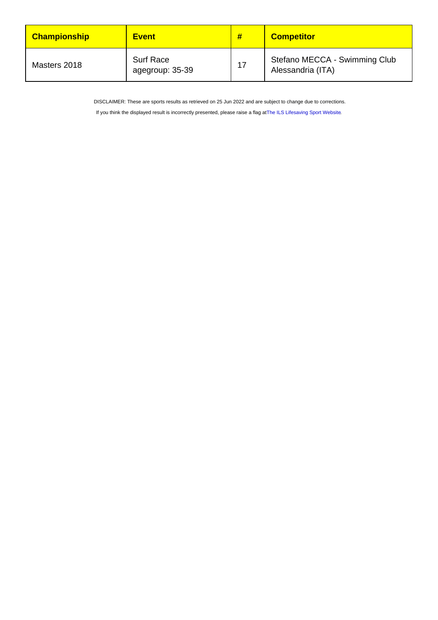| <b>Championship</b> | <b>Event</b>                        | #  | <b>Competitor</b>                                  |
|---------------------|-------------------------------------|----|----------------------------------------------------|
| Masters 2018        | <b>Surf Race</b><br>agegroup: 35-39 | 17 | Stefano MECCA - Swimming Club<br>Alessandria (ITA) |

DISCLAIMER: These are sports results as retrieved on 25 Jun 2022 and are subject to change due to corrections.

If you think the displayed result is incorrectly presented, please raise a flag at [The ILS Lifesaving Sport Website.](https://sport.ilsf.org)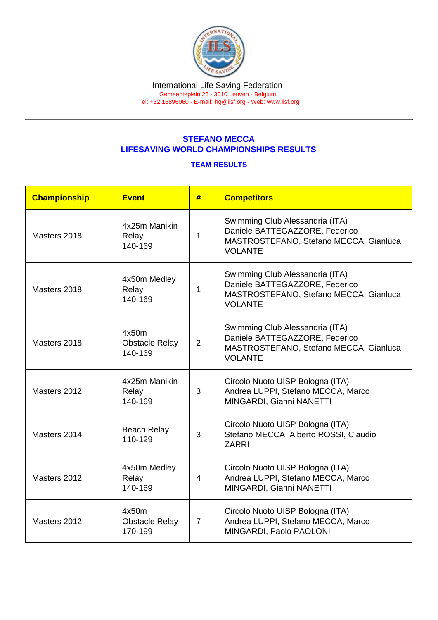## STEFANO MECCA LIFESAVING WORLD CHAMPIONSHIPS RESULTS

## TEAM RESULTS

| Championship | <b>Event</b>                              | #              | <b>Competitors</b>                                                                                                            |
|--------------|-------------------------------------------|----------------|-------------------------------------------------------------------------------------------------------------------------------|
| Masters 2018 | 4x25m Manikin<br>Relay<br>140-169         | 1              | Swimming Club Alessandria (ITA)<br>Daniele BATTEGAZZORE, Federico<br>MASTROSTEFANO, Stefano MECCA, Gianluca<br><b>VOLANTE</b> |
| Masters 2018 | 4x50m Medley<br>Relay<br>140-169          | 1              | Swimming Club Alessandria (ITA)<br>Daniele BATTEGAZZORE, Federico<br>MASTROSTEFANO, Stefano MECCA, Gianluca<br><b>VOLANTE</b> |
| Masters 2018 | 4x50m<br><b>Obstacle Relay</b><br>140-169 | $\overline{2}$ | Swimming Club Alessandria (ITA)<br>Daniele BATTEGAZZORE, Federico<br>MASTROSTEFANO, Stefano MECCA, Gianluca<br><b>VOLANTE</b> |
| Masters 2012 | 4x25m Manikin<br>Relay<br>140-169         | 3              | Circolo Nuoto UISP Bologna (ITA)<br>Andrea LUPPI, Stefano MECCA, Marco<br>MINGARDI, Gianni NANETTI                            |
| Masters 2014 | <b>Beach Relay</b><br>110-129             | 3              | Circolo Nuoto UISP Bologna (ITA)<br>Stefano MECCA, Alberto ROSSI, Claudio<br><b>ZARRI</b>                                     |
| Masters 2012 | 4x50m Medley<br>Relay<br>140-169          | $\overline{4}$ | Circolo Nuoto UISP Bologna (ITA)<br>Andrea LUPPI, Stefano MECCA, Marco<br>MINGARDI, Gianni NANETTI                            |
| Masters 2012 | 4x50m<br><b>Obstacle Relay</b><br>170-199 | $\overline{7}$ | Circolo Nuoto UISP Bologna (ITA)<br>Andrea LUPPI, Stefano MECCA, Marco<br>MINGARDI, Paolo PAOLONI                             |